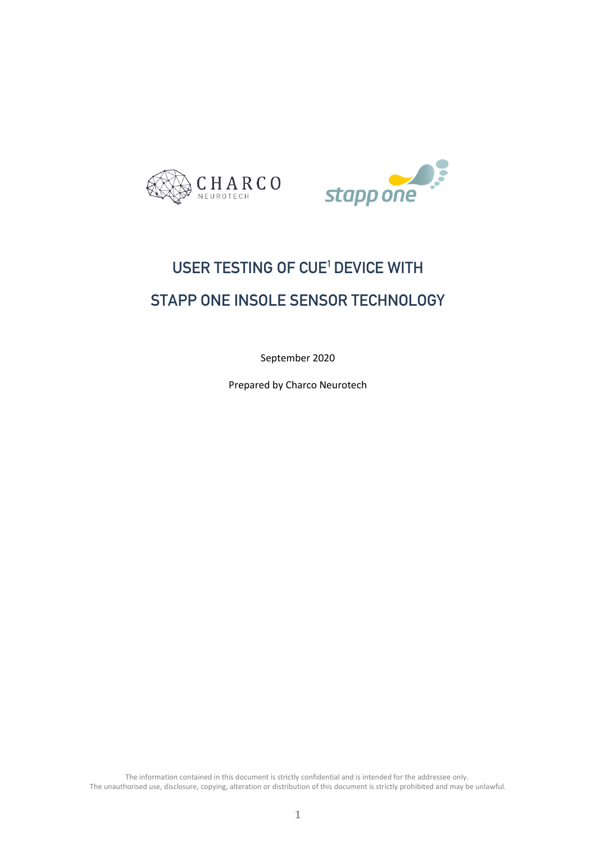



# USER TESTING OF CUE<sup>1</sup> DEVICE WITH STAPP ONE INSOLE SENSOR TECHNOLOGY

September 2020

Prepared by Charco Neurotech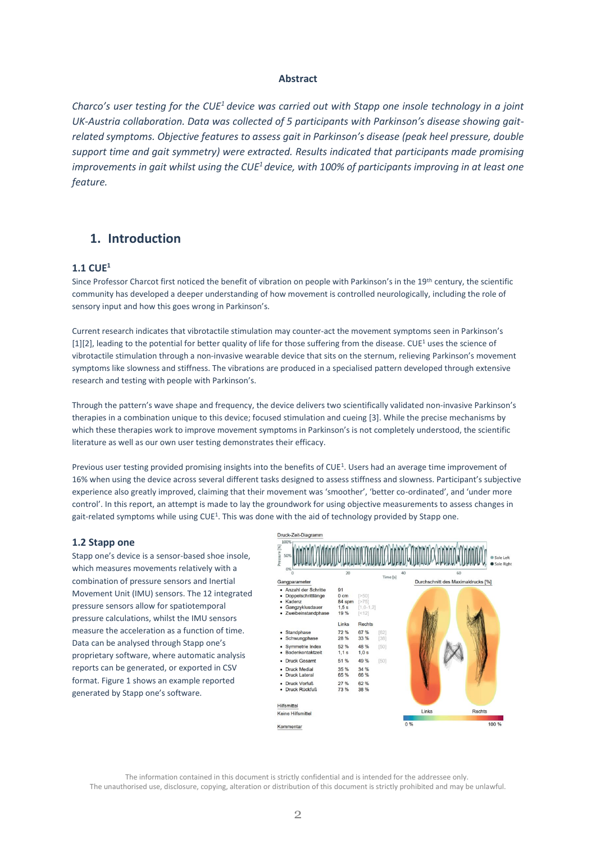#### **Abstract**

*Charco's user testing for the CUE<sup>1</sup>device was carried out with Stapp one insole technology in a joint UK-Austria collaboration. Data was collected of 5 participants with Parkinson's disease showing gaitrelated symptoms. Objective features to assess gait in Parkinson's disease (peak heel pressure, double support time and gait symmetry) were extracted. Results indicated that participants made promising improvements in gait whilst using the CUE<sup>1</sup>device, with 100% of participants improving in at least one feature.*

# **1. Introduction**

## **1.1 CUE<sup>1</sup>**

Since Professor Charcot first noticed the benefit of vibration on people with Parkinson's in the 19th century, the scientific community has developed a deeper understanding of how movement is controlled neurologically, including the role of sensory input and how this goes wrong in Parkinson's.

Current research indicates that vibrotactile stimulation may counter-act the movement symptoms seen in Parkinson's [1][2], leading to the potential for better quality of life for those suffering from the disease. CUE<sup>1</sup> uses the science of vibrotactile stimulation through a non-invasive wearable device that sits on the sternum, relieving Parkinson's movement symptoms like slowness and stiffness. The vibrations are produced in a specialised pattern developed through extensive research and testing with people with Parkinson's.

Through the pattern's wave shape and frequency, the device delivers two scientifically validated non-invasive Parkinson's therapies in a combination unique to this device; focused stimulation and cueing [3]. While the precise mechanisms by which these therapies work to improve movement symptoms in Parkinson's is not completely understood, the scientific literature as well as our own user testing demonstrates their efficacy.

Previous user testing provided promising insights into the benefits of CUE<sup>1</sup>. Users had an average time improvement of 16% when using the device across several different tasks designed to assess stiffness and slowness. Participant's subjective experience also greatly improved, claiming that their movement was 'smoother', 'better co-ordinated', and 'under more control'. In this report, an attempt is made to lay the groundwork for using objective measurements to assess changes in gait-related symptoms while using CUE<sup>1</sup>. This was done with the aid of technology provided by Stapp one.

#### **1.2 Stapp one**

Stapp one's device is a sensor-based shoe insole, which measures movements relatively with a combination of pressure sensors and Inertial Movement Unit (IMU) sensors. The 12 integrated pressure sensors allow for spatiotemporal pressure calculations, whilst the IMU sensors measure the acceleration as a function of time. Data can be analysed through Stapp one's proprietary software, where automatic analysis reports can be generated, or exported in CSV format. Figure 1 shows an example reported generated by Stapp one's software.

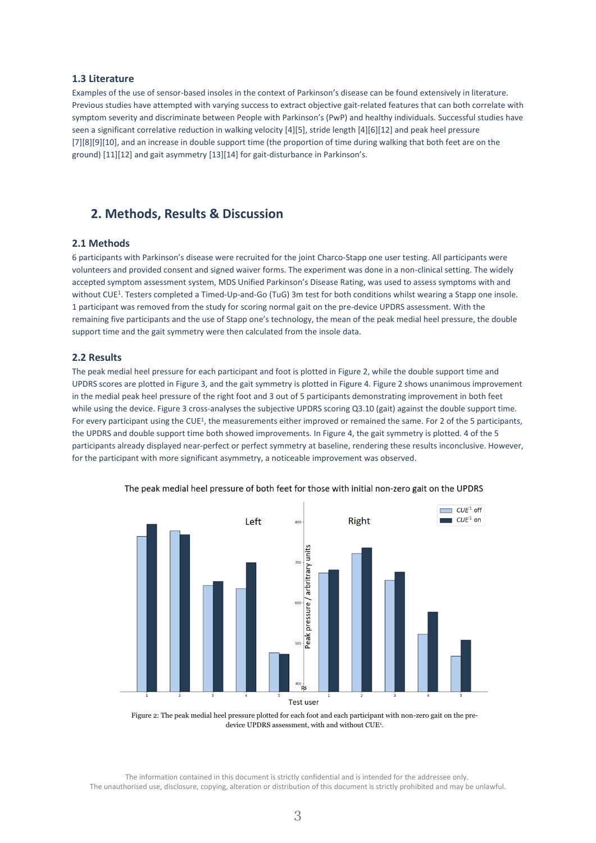## **1.3 Literature**

Examples of the use of sensor-based insoles in the context of Parkinson's disease can be found extensively in literature. Previous studies have attempted with varying success to extract objective gait-related features that can both correlate with symptom severity and discriminate between People with Parkinson's (PwP) and healthy individuals. Successful studies have seen a significant correlative reduction in walking velocity [4][5], stride length [4][6][12] and peak heel pressure [7][8][9][10], and an increase in double support time (the proportion of time during walking that both feet are on the ground) [11][12] and gait asymmetry [13][14] for gait-disturbance in Parkinson's.

## **2. Methods, Results & Discussion**

#### **2.1 Methods**

6 participants with Parkinson's disease were recruited for the joint Charco-Stapp one user testing. All participants were volunteers and provided consent and signed waiver forms. The experiment was done in a non-clinical setting. The widely accepted symptom assessment system, MDS Unified Parkinson's Disease Rating, was used to assess symptoms with and without CUE<sup>1</sup>. Testers completed a Timed-Up-and-Go (TuG) 3m test for both conditions whilst wearing a Stapp one insole. 1 participant was removed from the study for scoring normal gait on the pre-device UPDRS assessment. With the remaining five participants and the use of Stapp one's technology, the mean of the peak medial heel pressure, the double support time and the gait symmetry were then calculated from the insole data.

#### **2.2 Results**

The peak medial heel pressure for each participant and foot is plotted in Figure 2, while the double support time and UPDRS scores are plotted in Figure 3, and the gait symmetry is plotted in Figure 4. Figure 2 shows unanimous improvement in the medial peak heel pressure of the right foot and 3 out of 5 participants demonstrating improvement in both feet while using the device. Figure 3 cross-analyses the subjective UPDRS scoring Q3.10 (gait) against the double support time. For every participant using the CUE<sup>1</sup>, the measurements either improved or remained the same. For 2 of the 5 participants, the UPDRS and double support time both showed improvements. In Figure 4, the gait symmetry is plotted. 4 of the 5 participants already displayed near-perfect or perfect symmetry at baseline, rendering these results inconclusive. However, for the participant with more significant asymmetry, a noticeable improvement was observed.



The peak medial heel pressure of both feet for those with initial non-zero gait on the UPDRS

Figure 2: The peak medial heel pressure plotted for each foot and each participant with non-zero gait on the predevice UPDRS assessment, with and without CUE<sup>1</sup>.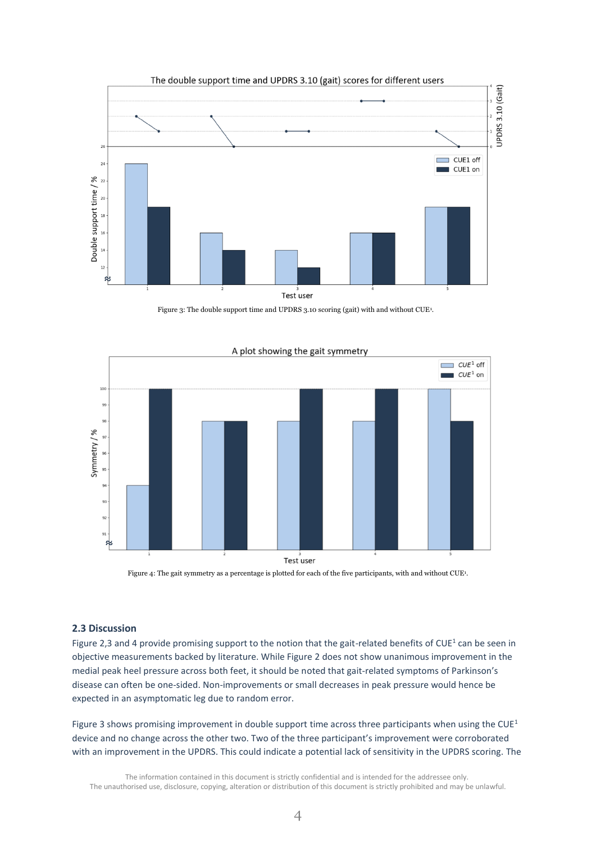

Figure 3: The double support time and UPDRS 3.10 scoring (gait) with and without CUE<sup>1</sup>.



Figure 4: The gait symmetry as a percentage is plotted for each of the five participants, with and without CUE<sup>1</sup>.

### **2.3 Discussion**

Figure 2,3 and 4 provide promising support to the notion that the gait-related benefits of CUE<sup>1</sup> can be seen in objective measurements backed by literature. While Figure 2 does not show unanimous improvement in the medial peak heel pressure across both feet, it should be noted that gait-related symptoms of Parkinson's disease can often be one-sided. Non-improvements or small decreases in peak pressure would hence be expected in an asymptomatic leg due to random error.

Figure 3 shows promising improvement in double support time across three participants when using the CUE<sup>1</sup> device and no change across the other two. Two of the three participant's improvement were corroborated with an improvement in the UPDRS. This could indicate a potential lack of sensitivity in the UPDRS scoring. The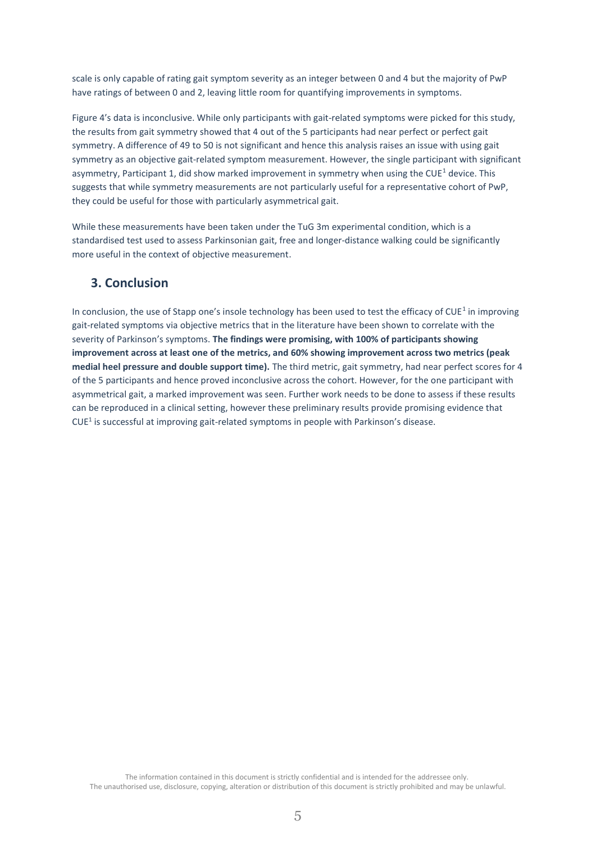scale is only capable of rating gait symptom severity as an integer between 0 and 4 but the majority of PwP have ratings of between 0 and 2, leaving little room for quantifying improvements in symptoms.

Figure 4's data is inconclusive. While only participants with gait-related symptoms were picked for this study, the results from gait symmetry showed that 4 out of the 5 participants had near perfect or perfect gait symmetry. A difference of 49 to 50 is not significant and hence this analysis raises an issue with using gait symmetry as an objective gait-related symptom measurement. However, the single participant with significant asymmetry, Participant 1, did show marked improvement in symmetry when using the CUE<sup>1</sup> device. This suggests that while symmetry measurements are not particularly useful for a representative cohort of PwP, they could be useful for those with particularly asymmetrical gait.

While these measurements have been taken under the TuG 3m experimental condition, which is a standardised test used to assess Parkinsonian gait, free and longer-distance walking could be significantly more useful in the context of objective measurement.

# **3. Conclusion**

In conclusion, the use of Stapp one's insole technology has been used to test the efficacy of CUE<sup>1</sup> in improving gait-related symptoms via objective metrics that in the literature have been shown to correlate with the severity of Parkinson's symptoms. **The findings were promising, with 100% of participants showing improvement across at least one of the metrics, and 60% showing improvement across two metrics (peak medial heel pressure and double support time).** The third metric, gait symmetry, had near perfect scores for 4 of the 5 participants and hence proved inconclusive across the cohort. However, for the one participant with asymmetrical gait, a marked improvement was seen. Further work needs to be done to assess if these results can be reproduced in a clinical setting, however these preliminary results provide promising evidence that CUE<sup>1</sup> is successful at improving gait-related symptoms in people with Parkinson's disease.